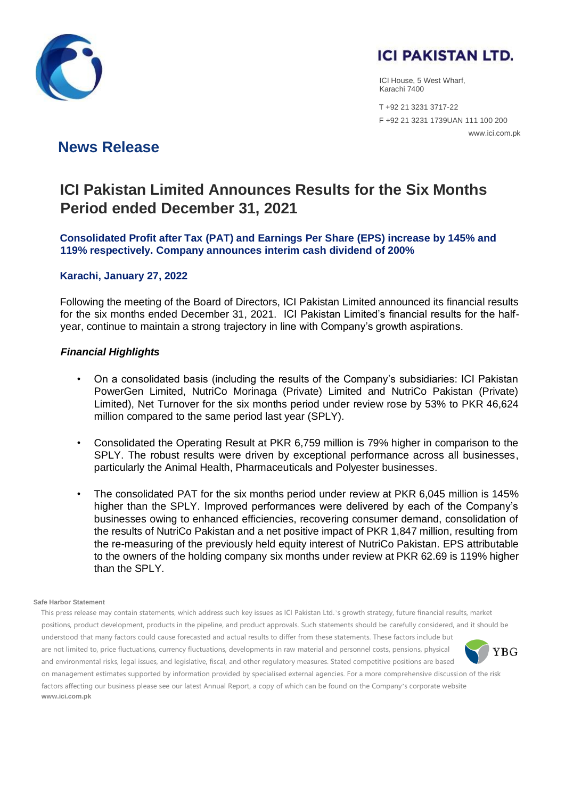



ICI House, 5 West Wharf, Karachi 7400

 T +92 21 3231 3717-22 F +92 21 3231 1739UAN 111 100 200 www.ici.com.pk

## **News Release**

# **ICI Pakistan Limited Announces Results for the Six Months Period ended December 31, 2021**

**Consolidated Profit after Tax (PAT) and Earnings Per Share (EPS) increase by 145% and 119% respectively. Company announces interim cash dividend of 200%**

### **Karachi, January 27, 2022**

Following the meeting of the Board of Directors, ICI Pakistan Limited announced its financial results for the six months ended December 31, 2021. ICI Pakistan Limited's financial results for the halfyear, continue to maintain a strong trajectory in line with Company's growth aspirations.

### *Financial Highlights*

- On a consolidated basis (including the results of the Company's subsidiaries: ICI Pakistan PowerGen Limited, NutriCo Morinaga (Private) Limited and NutriCo Pakistan (Private) Limited), Net Turnover for the six months period under review rose by 53% to PKR 46,624 million compared to the same period last year (SPLY).
- Consolidated the Operating Result at PKR 6,759 million is 79% higher in comparison to the SPLY. The robust results were driven by exceptional performance across all businesses, particularly the Animal Health, Pharmaceuticals and Polyester businesses.
- The consolidated PAT for the six months period under review at PKR 6,045 million is 145% higher than the SPLY. Improved performances were delivered by each of the Company's businesses owing to enhanced efficiencies, recovering consumer demand, consolidation of the results of NutriCo Pakistan and a net positive impact of PKR 1,847 million, resulting from the re-measuring of the previously held equity interest of NutriCo Pakistan. EPS attributable to the owners of the holding company six months under review at PKR 62.69 is 119% higher than the SPLY.

#### **Safe Harbor Statement**

This press release may contain statements, which address such key issues as ICI Pakistan Ltd.'s growth strategy, future financial results, market positions, product development, products in the pipeline, and product approvals. Such statements should be carefully considered, and it should be understood that many factors could cause forecasted and actual results to differ from these statements. These factors include but are not limited to, price fluctuations, currency fluctuations, developments in raw material and personnel costs, pensions, physical **YBG** and environmental risks, legal issues, and legislative, fiscal, and other regulatory measures. Stated competitive positions are based on management estimates supported by information provided by specialised external agencies. For a more comprehensive discussion of the risk factors affecting our business please see our latest Annual Report, a copy of which can be found on the Company's corporate website **www.ici.com.pk**